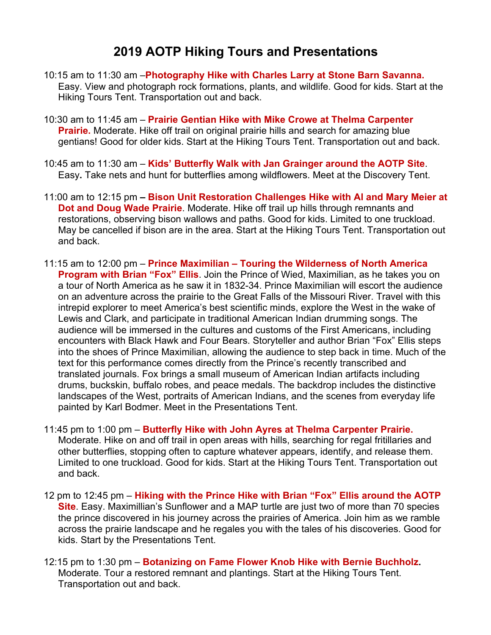## **2019 AOTP Hiking Tours and Presentations**

- 10:15 am to 11:30 am –**Photography Hike with Charles Larry at Stone Barn Savanna.**  Easy. View and photograph rock formations, plants, and wildlife. Good for kids. Start at the Hiking Tours Tent. Transportation out and back.
- 10:30 am to 11:45 am **Prairie Gentian Hike with Mike Crowe at Thelma Carpenter Prairie.** Moderate. Hike off trail on original prairie hills and search for amazing blue gentians! Good for older kids. Start at the Hiking Tours Tent. Transportation out and back.
- 10:45 am to 11:30 am **Kids' Butterfly Walk with Jan Grainger around the AOTP Site**. Easy**.** Take nets and hunt for butterflies among wildflowers. Meet at the Discovery Tent.
- 11:00 am to 12:15 pm **– Bison Unit Restoration Challenges Hike with Al and Mary Meier at Dot and Doug Wade Prairie**. Moderate. Hike off trail up hills through remnants and restorations, observing bison wallows and paths. Good for kids. Limited to one truckload. May be cancelled if bison are in the area. Start at the Hiking Tours Tent. Transportation out and back.
- 11:15 am to 12:00 pm **Prince Maximilian – Touring the Wilderness of North America Program with Brian "Fox" Ellis.** Join the Prince of Wied, Maximilian, as he takes you on a tour of North America as he saw it in 1832-34. Prince Maximilian will escort the audience on an adventure across the prairie to the Great Falls of the Missouri River. Travel with this intrepid explorer to meet America's best scientific minds, explore the West in the wake of Lewis and Clark, and participate in traditional American Indian drumming songs. The audience will be immersed in the cultures and customs of the First Americans, including encounters with Black Hawk and Four Bears. Storyteller and author Brian "Fox" Ellis steps into the shoes of Prince Maximilian, allowing the audience to step back in time. Much of the text for this performance comes directly from the Prince's recently transcribed and translated journals. Fox brings a small museum of American Indian artifacts including drums, buckskin, buffalo robes, and peace medals. The backdrop includes the distinctive landscapes of the West, portraits of American Indians, and the scenes from everyday life painted by Karl Bodmer. Meet in the Presentations Tent.
- 11:45 pm to 1:00 pm **Butterfly Hike with John Ayres at Thelma Carpenter Prairie.**  Moderate. Hike on and off trail in open areas with hills, searching for regal fritillaries and other butterflies, stopping often to capture whatever appears, identify, and release them. Limited to one truckload. Good for kids. Start at the Hiking Tours Tent. Transportation out and back.
- 12 pm to 12:45 pm **Hiking with the Prince Hike with Brian "Fox" Ellis around the AOTP Site**. Easy. Maximillian's Sunflower and a MAP turtle are just two of more than 70 species the prince discovered in his journey across the prairies of America. Join him as we ramble across the prairie landscape and he regales you with the tales of his discoveries. Good for kids. Start by the Presentations Tent.
- 12:15 pm to 1:30 pm **Botanizing on Fame Flower Knob Hike with Bernie Buchholz.** Moderate. Tour a restored remnant and plantings. Start at the Hiking Tours Tent. Transportation out and back.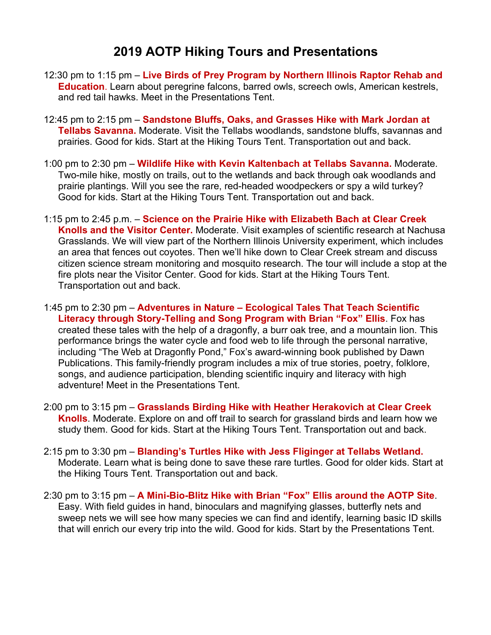## **2019 AOTP Hiking Tours and Presentations**

- 12:30 pm to 1:15 pm **Live Birds of Prey Program by Northern Illinois Raptor Rehab and Education**. Learn about peregrine falcons, barred owls, screech owls, American kestrels, and red tail hawks. Meet in the Presentations Tent.
- 12:45 pm to 2:15 pm **Sandstone Bluffs, Oaks, and Grasses Hike with Mark Jordan at Tellabs Savanna.** Moderate. Visit the Tellabs woodlands, sandstone bluffs, savannas and prairies. Good for kids. Start at the Hiking Tours Tent. Transportation out and back.
- 1:00 pm to 2:30 pm **Wildlife Hike with Kevin Kaltenbach at Tellabs Savanna.** Moderate. Two-mile hike, mostly on trails, out to the wetlands and back through oak woodlands and prairie plantings. Will you see the rare, red-headed woodpeckers or spy a wild turkey? Good for kids. Start at the Hiking Tours Tent. Transportation out and back.
- 1:15 pm to 2:45 p.m. **Science on the Prairie Hike with Elizabeth Bach at Clear Creek Knolls and the Visitor Center.** Moderate. Visit examples of scientific research at Nachusa Grasslands. We will view part of the Northern Illinois University experiment, which includes an area that fences out coyotes. Then we'll hike down to Clear Creek stream and discuss citizen science stream monitoring and mosquito research. The tour will include a stop at the fire plots near the Visitor Center. Good for kids. Start at the Hiking Tours Tent. Transportation out and back.
- 1:45 pm to 2:30 pm **Adventures in Nature – Ecological Tales That Teach Scientific Literacy through Story-Telling and Song Program with Brian "Fox" Ellis**. Fox has created these tales with the help of a dragonfly, a burr oak tree, and a mountain lion. This performance brings the water cycle and food web to life through the personal narrative, including "The Web at Dragonfly Pond," Fox's award-winning book published by Dawn Publications. This family-friendly program includes a mix of true stories, poetry, folklore, songs, and audience participation, blending scientific inquiry and literacy with high adventure! Meet in the Presentations Tent.
- 2:00 pm to 3:15 pm **Grasslands Birding Hike with Heather Herakovich at Clear Creek Knolls**. Moderate. Explore on and off trail to search for grassland birds and learn how we study them. Good for kids. Start at the Hiking Tours Tent. Transportation out and back.
- 2:15 pm to 3:30 pm **Blanding's Turtles Hike with Jess Fliginger at Tellabs Wetland.** Moderate. Learn what is being done to save these rare turtles. Good for older kids. Start at the Hiking Tours Tent. Transportation out and back.
- 2:30 pm to 3:15 pm **A Mini-Bio-Blitz Hike with Brian "Fox" Ellis around the AOTP Site**. Easy. With field guides in hand, binoculars and magnifying glasses, butterfly nets and sweep nets we will see how many species we can find and identify, learning basic ID skills that will enrich our every trip into the wild. Good for kids. Start by the Presentations Tent.